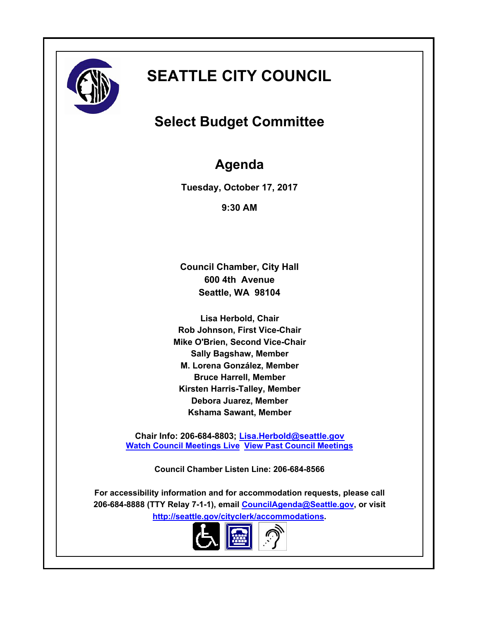

# **SEATTLE CITY COUNCIL**

# **Select Budget Committee**

# **Agenda**

**Tuesday, October 17, 2017**

**9:30 AM**

**Council Chamber, City Hall 600 4th Avenue Seattle, WA 98104**

**Lisa Herbold, Chair Rob Johnson, First Vice-Chair Mike O'Brien, Second Vice-Chair Sally Bagshaw, Member M. Lorena González, Member Bruce Harrell, Member Kirsten Harris-Talley, Member Debora Juarez, Member Kshama Sawant, Member**

**Chair Info: 206-684-8803; [Lisa.Herbold@seattle.gov](mailto:Lisa.Herbold@seattle.gov) [Watch Council Meetings Live](http://www.seattle.gov/council/councillive.htm) [View Past Council Meetings](http://www.seattlechannel.org/videos/browseVideos.asp?topic=council)**

**Council Chamber Listen Line: 206-684-8566**

**For accessibility information and for accommodation requests, please call 206-684-8888 (TTY Relay 7-1-1), email [CouncilAgenda@Seattle.gov](mailto: Council.Agenda@seattle.gov), or visit <http://seattle.gov/cityclerk/accommodations>.**

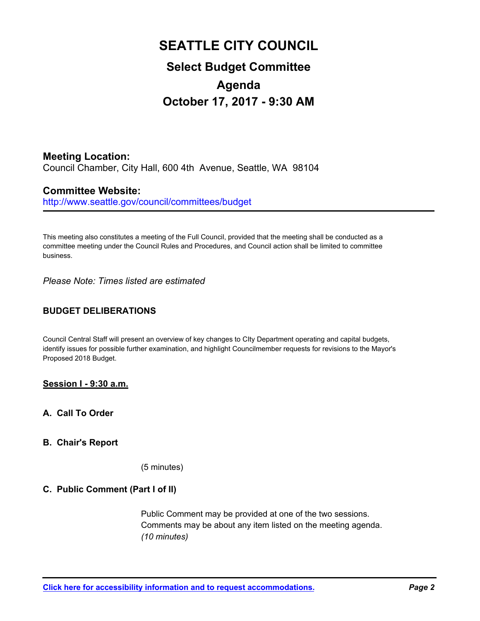# **SEATTLE CITY COUNCIL Select Budget Committee Agenda October 17, 2017 - 9:30 AM**

**Meeting Location:** Council Chamber, City Hall, 600 4th Avenue, Seattle, WA 98104

# **Committee Website:**

http://www.seattle.gov/council/committees/budget

This meeting also constitutes a meeting of the Full Council, provided that the meeting shall be conducted as a committee meeting under the Council Rules and Procedures, and Council action shall be limited to committee business.

*Please Note: Times listed are estimated*

# **BUDGET DELIBERATIONS**

Council Central Staff will present an overview of key changes to CIty Department operating and capital budgets, identify issues for possible further examination, and highlight Councilmember requests for revisions to the Mayor's Proposed 2018 Budget.

# **Session I - 9:30 a.m.**

**A. Call To Order**

## **B. Chair's Report**

(5 minutes)

## **C. Public Comment (Part I of II)**

Public Comment may be provided at one of the two sessions. Comments may be about any item listed on the meeting agenda. *(10 minutes)*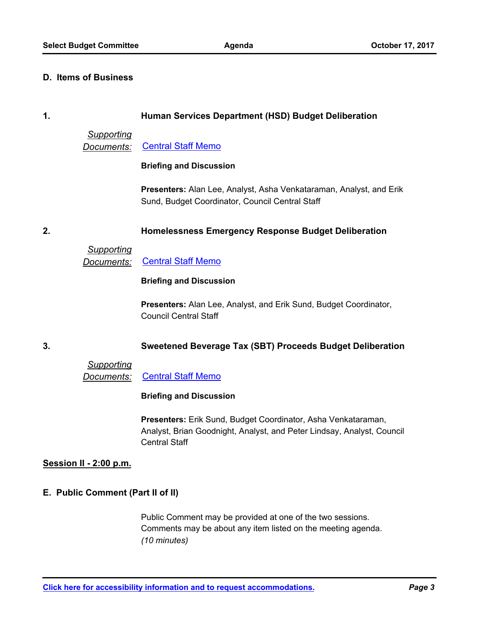#### **D. Items of Business**

#### **1. Human Services Department (HSD) Budget Deliberation**

#### *Supporting*

*Documents:* [Central Staff Memo](http://seattle.legistar.com/gateway.aspx?M=F&ID=f04a609b-c0d0-4197-a0de-6ee20c7eec03.pdf)

#### **Briefing and Discussion**

**Presenters:** Alan Lee, Analyst, Asha Venkataraman, Analyst, and Erik Sund, Budget Coordinator, Council Central Staff

## **2. Homelessness Emergency Response Budget Deliberation**

*Supporting* **Documents:** [Central Staff Memo](http://seattle.legistar.com/gateway.aspx?M=F&ID=a22241e6-7deb-4391-af39-781f152fcc3c.pdf)

#### **Briefing and Discussion**

**Presenters:** Alan Lee, Analyst, and Erik Sund, Budget Coordinator, Council Central Staff

## **3. Sweetened Beverage Tax (SBT) Proceeds Budget Deliberation**

## *Supporting*

*Documents:* [Central Staff Memo](http://seattle.legistar.com/gateway.aspx?M=F&ID=6644944d-915d-4305-abf7-3fcbe070c05f.pdf)

#### **Briefing and Discussion**

**Presenters:** Erik Sund, Budget Coordinator, Asha Venkataraman, Analyst, Brian Goodnight, Analyst, and Peter Lindsay, Analyst, Council Central Staff

#### **Session II - 2:00 p.m.**

## **E. Public Comment (Part II of II)**

Public Comment may be provided at one of the two sessions. Comments may be about any item listed on the meeting agenda. *(10 minutes)*